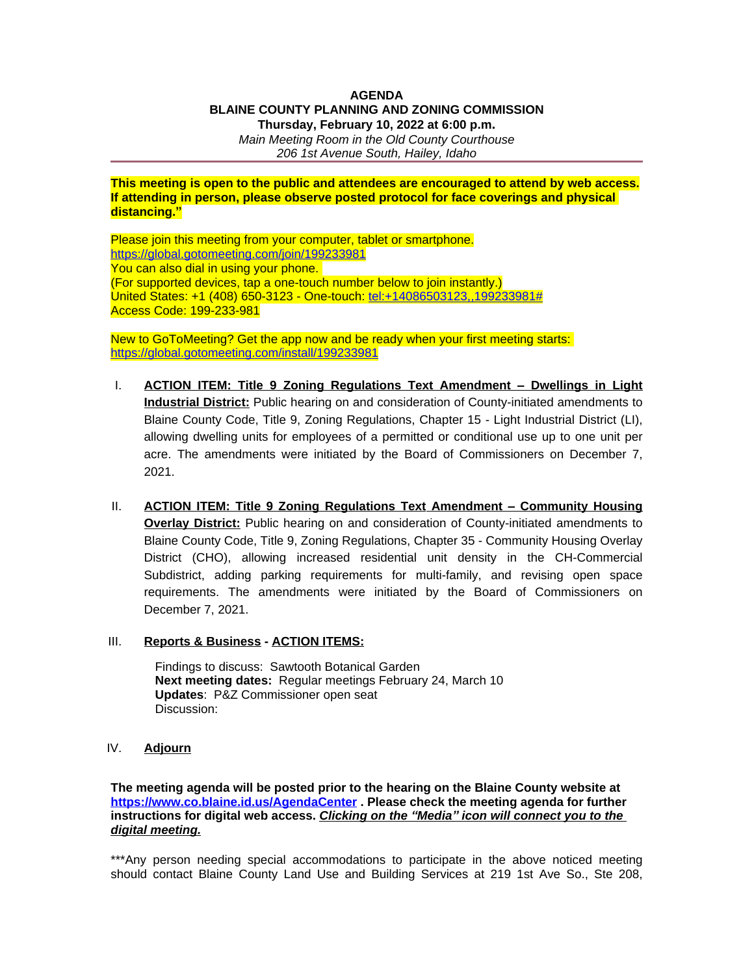## **AGENDA BLAINE COUNTY PLANNING AND ZONING COMMISSION Thursday, February 10, 2022 at 6:00 p.m.**

*Main Meeting Room in the Old County Courthouse 206 1st Avenue South, Hailey, Idaho*

## **This meeting is open to the public and attendees are encouraged to attend by web access. If attending in person, please observe posted protocol for face coverings and physical distancing."**

Please join this meeting from your computer, tablet or smartphone. <https://global.gotomeeting.com/join/199233981> You can also dial in using your phone. (For supported devices, tap a one-touch number below to join instantly.) United States: +1 (408) 650-3123 - One-touch: [tel:+14086503123,,199233981#](tel:+14086503123,,199233981) Access Code: 199-233-981

New to GoToMeeting? Get the app now and be ready when your first meeting starts: <https://global.gotomeeting.com/install/199233981>

- I. **ACTION ITEM: Title 9 Zoning Regulations Text Amendment – Dwellings in Light Industrial District:** Public hearing on and consideration of County-initiated amendments to Blaine County Code, Title 9, Zoning Regulations, Chapter 15 - Light Industrial District (LI), allowing dwelling units for employees of a permitted or conditional use up to one unit per acre. The amendments were initiated by the Board of Commissioners on December 7, 2021.
- II. **ACTION ITEM: Title 9 Zoning Regulations Text Amendment – Community Housing Overlay District:** Public hearing on and consideration of County-initiated amendments to Blaine County Code, Title 9, Zoning Regulations, Chapter 35 - Community Housing Overlay District (CHO), allowing increased residential unit density in the CH-Commercial Subdistrict, adding parking requirements for multi-family, and revising open space requirements. The amendments were initiated by the Board of Commissioners on December 7, 2021.
- III. **Reports & Business ACTION ITEMS:**

Findings to discuss: Sawtooth Botanical Garden **Next meeting dates:** Regular meetings February 24, March 10 **Updates**: P&Z Commissioner open seat Discussion:

IV. **Adjourn**

**The meeting agenda will be posted prior to the hearing on the Blaine County website at <https://www.co.blaine.id.us/AgendaCenter> . Please check the meeting agenda for further instructions for digital web access.** *Clicking on the "Media" icon will connect you to the digital meeting.*

\*\*\*Any person needing special accommodations to participate in the above noticed meeting should contact Blaine County Land Use and Building Services at 219 1st Ave So., Ste 208,